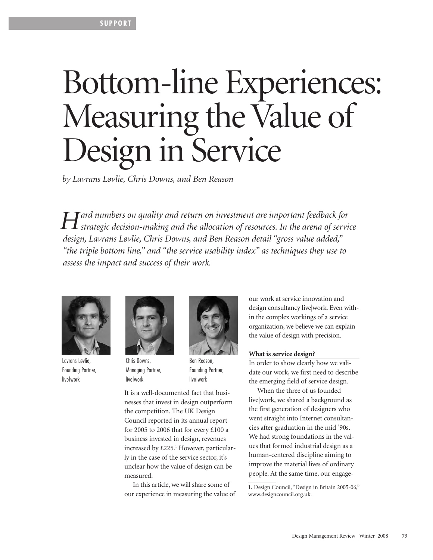# Bottom-line Experiences: Measuring the Value of Design in Service

*by Lavrans Løvlie, Chris Downs, and Ben Reason*

*Fard numbers on quality and return on investment are important feedback for strategic decision-making and return on investment are important feedback for*<br>*H strategic decision-making and the allocation of resources. In the arena of service design, Lavrans Løvlie, Chris Downs, and Ben Reason detail "gross value added," "the triple bottom line," and "the service usability index" as techniques they use to assess the impact and success of their work.*



Lavrans Løvlie, Founding Partner, live|work



Managing Partner, live|work



Ben Reason, Founding Partner, live|work

It is a well-documented fact that businesses that invest in design outperform the competition. The UK Design Council reported in its annual report for 2005 to 2006 that for every £100 a business invested in design, revenues increased by £225.<sup>1</sup> However, particularly in the case of the service sector, it's unclear how the value of design can be measured.

In this article, we will share some of our experience in measuring the value of our work at service innovation and design consultancy live|work. Even within the complex workings of a service organization, we believe we can explain the value of design with precision.

#### **What is service design?**

In order to show clearly how we validate our work, we first need to describe the emerging field of service design.

When the three of us founded live|work, we shared a background as the first generation of designers who went straight into Internet consultancies after graduation in the mid '90s. We had strong foundations in the values that formed industrial design as a human-centered discipline aiming to improve the material lives of ordinary people. At the same time, our engage-

**1.** Design Council, "Design in Britain 2005-06," www.designcouncil.org.uk.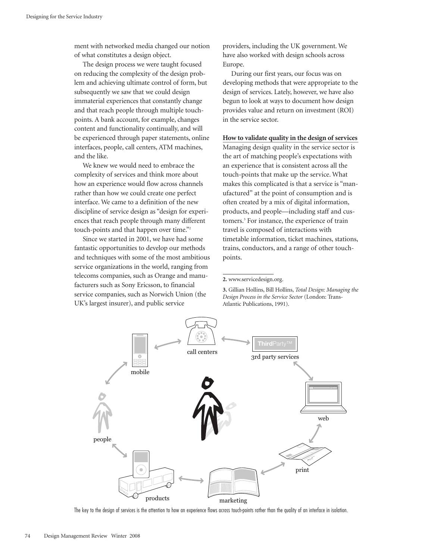ment with networked media changed our notion of what constitutes a design object.

The design process we were taught focused on reducing the complexity of the design problem and achieving ultimate control of form, but subsequently we saw that we could design immaterial experiences that constantly change and that reach people through multiple touchpoints. A bank account, for example, changes content and functionality continually, and will be experienced through paper statements, online interfaces, people, call centers, ATM machines, and the like.

We knew we would need to embrace the complexity of services and think more about how an experience would flow across channels rather than how we could create one perfect interface. We came to a definition of the new discipline of service design as "design for experiences that reach people through many different touch-points and that happen over time."2

Since we started in 2001, we have had some fantastic opportunities to develop our methods and techniques with some of the most ambitious service organizations in the world, ranging from telecoms companies, such as Orange and manufacturers such as Sony Ericsson, to financial service companies, such as Norwich Union (the UK's largest insurer), and public service

providers, including the UK government. We have also worked with design schools across Europe.

During our first years, our focus was on developing methods that were appropriate to the design of services. Lately, however, we have also begun to look at ways to document how design provides value and return on investment (ROI) in the service sector.

#### **How to validate quality in the design of services**

Managing design quality in the service sector is the art of matching people's expectations with an experience that is consistent across all the touch-points that make up the service. What makes this complicated is that a service is "manufactured" at the point of consumption and is often created by a mix of digital information, products, and people—including staff and customers.3 For instance, the experience of train travel is composed of interactions with timetable information, ticket machines, stations, trains, conductors, and a range of other touchpoints.

**3.** Gillian Hollins, Bill Hollins, *Total Design: Managing the Design Process in the Service Sector* (London: Trans-Atlantic Publications, 1991).



The key to the design of services is the attention to how an experience flows across touch-points rather than the quality of an interface in isolation.

**<sup>2.</sup>** www.servicedesign.org.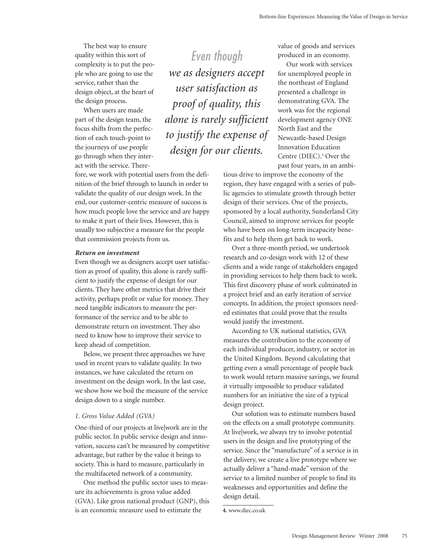The best way to ensure quality within this sort of complexity is to put the people who are going to use the service, rather than the design object, at the heart of the design process.

When users are made part of the design team, the focus shifts from the perfection of each touch-point to the journeys of use people go through when they interact with the service. There-

fore, we work with potential users from the definition of the brief through to launch in order to validate the quality of our design work. In the end, our customer-centric measure of success is how much people love the service and are happy to make it part of their lives. However, this is usually too subjective a measure for the people that commission projects from us.

#### *Return on investment*

Even though we as designers accept user satisfaction as proof of quality, this alone is rarely sufficient to justify the expense of design for our clients. They have other metrics that drive their activity, perhaps profit or value for money. They need tangible indicators to measure the performance of the service and to be able to demonstrate return on investment. They also need to know how to improve their service to keep ahead of competition.

Below, we present three approaches we have used in recent years to validate quality. In two instances, we have calculated the return on investment on the design work. In the last case, we show how we boil the measure of the service design down to a single number.

### *1. Gross Value Added (GVA)*

One-third of our projects at live|work are in the public sector. In public service design and innovation, success can't be measured by competitive advantage, but rather by the value it brings to society. This is hard to measure, particularly in the multifaceted network of a community.

One method the public sector uses to measure its achievements is gross value added (GVA). Like gross national product (GNP), this is an economic measure used to estimate the

*Even though we as designers accept user satisfaction as proof of quality, this alone is rarely sufficient to justify the expense of design for our clients.*

value of goods and services produced in an economy.

Our work with services for unemployed people in the northeast of England presented a challenge in demonstrating GVA. The work was for the regional development agency ONE North East and the Newcastle-based Design Innovation Education Centre (DIEC).<sup>4</sup> Over the past four years, in an ambi-

tious drive to improve the economy of the region, they have engaged with a series of public agencies to stimulate growth through better design of their services. One of the projects, sponsored by a local authority, Sunderland City Council, aimed to improve services for people who have been on long-term incapacity benefits and to help them get back to work.

Over a three-month period, we undertook research and co-design work with 12 of these clients and a wide range of stakeholders engaged in providing services to help them back to work. This first discovery phase of work culminated in a project brief and an early iteration of service concepts. In addition, the project sponsors needed estimates that could prove that the results would justify the investment.

According to UK national statistics, GVA measures the contribution to the economy of each individual producer, industry, or sector in the United Kingdom. Beyond calculating that getting even a small percentage of people back to work would return massive savings, we found it virtually impossible to produce validated numbers for an initiative the size of a typical design project.

Our solution was to estimate numbers based on the effects on a small prototype community. At live|work, we always try to involve potential users in the design and live prototyping of the service. Since the "manufacture" of a service is in the delivery, we create a live prototype where we actually deliver a "hand-made" version of the service to a limited number of people to find its weaknesses and opportunities and define the design detail.

**<sup>4.</sup>** www.diec.co.uk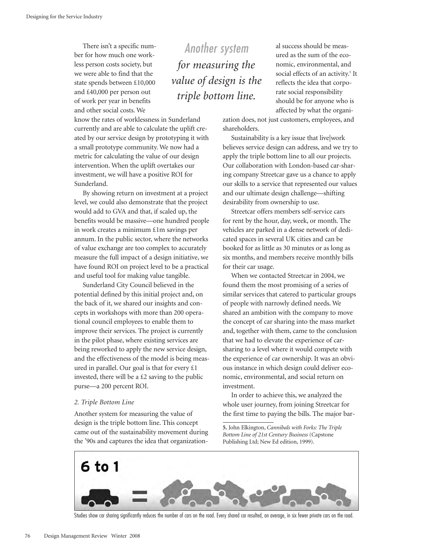There isn't a specific number for how much one workless person costs society, but we were able to find that the state spends between £10,000 and £40,000 per person out of work per year in benefits and other social costs. We

know the rates of worklessness in Sunderland currently and are able to calculate the uplift created by our service design by prototyping it with a small prototype community. We now had a metric for calculating the value of our design intervention. When the uplift overtakes our investment, we will have a positive ROI for Sunderland.

By showing return on investment at a project level, we could also demonstrate that the project would add to GVA and that, if scaled up, the benefits would be massive—one hundred people in work creates a minimum £1m savings per annum. In the public sector, where the networks of value exchange are too complex to accurately measure the full impact of a design initiative, we have found ROI on project level to be a practical and useful tool for making value tangible.

Sunderland City Council believed in the potential defined by this initial project and, on the back of it, we shared our insights and concepts in workshops with more than 200 operational council employees to enable them to improve their services. The project is currently in the pilot phase, where existing services are being reworked to apply the new service design, and the effectiveness of the model is being measured in parallel. Our goal is that for every  $\pounds 1$ invested, there will be a £2 saving to the public purse—a 200 percent ROI.

# *2. Triple Bottom Line*

Another system for measuring the value of design is the triple bottom line. This concept came out of the sustainability movement during the '90s and captures the idea that organization-

*Another system for measuring the value of design is the triple bottom line.*

al success should be measured as the sum of the economic, environmental, and social effects of an activity.<sup>5</sup> It reflects the idea that corporate social responsibility should be for anyone who is affected by what the organi-

zation does, not just customers, employees, and shareholders.

Sustainability is a key issue that live|work believes service design can address, and we try to apply the triple bottom line to all our projects. Our collaboration with London-based car-sharing company Streetcar gave us a chance to apply our skills to a service that represented our values and our ultimate design challenge—shifting desirability from ownership to use.

Streetcar offers members self-service cars for rent by the hour, day, week, or month. The vehicles are parked in a dense network of dedicated spaces in several UK cities and can be booked for as little as 30 minutes or as long as six months, and members receive monthly bills for their car usage.

When we contacted Streetcar in 2004, we found them the most promising of a series of similar services that catered to particular groups of people with narrowly defined needs. We shared an ambition with the company to move the concept of car sharing into the mass market and, together with them, came to the conclusion that we had to elevate the experience of carsharing to a level where it would compete with the experience of car ownership. It was an obvious instance in which design could deliver economic, environmental, and social return on investment.

In order to achieve this, we analyzed the whole user journey, from joining Streetcar for the first time to paying the bills. The major bar-

**<sup>5.</sup>** John Elkington, *Cannibals with Forks: The Triple Bottom Line of 21st Century Business* (Capstone Publishing Ltd; New Ed edition, 1999).



Studies show car sharing significantly reduces the number of cars on the road. Every shared car resulted, on average, in six fewer private cars on the road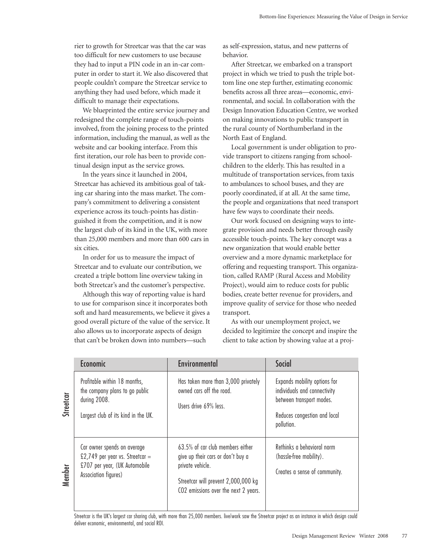rier to growth for Streetcar was that the car was too difficult for new customers to use because they had to input a PIN code in an in-car computer in order to start it. We also discovered that people couldn't compare the Streetcar service to anything they had used before, which made it difficult to manage their expectations.

We blueprinted the entire service journey and redesigned the complete range of touch-points involved, from the joining process to the printed information, including the manual, as well as the website and car booking interface. From this first iteration, our role has been to provide continual design input as the service grows.

In the years since it launched in 2004, Streetcar has achieved its ambitious goal of taking car sharing into the mass market. The company's commitment to delivering a consistent experience across its touch-points has distinguished it from the competition, and it is now the largest club of its kind in the UK, with more than 25,000 members and more than 600 cars in six cities.

In order for us to measure the impact of Streetcar and to evaluate our contribution, we created a triple bottom line overview taking in both Streetcar's and the customer's perspective.

Although this way of reporting value is hard to use for comparison since it incorporates both soft and hard measurements, we believe it gives a good overall picture of the value of the service. It also allows us to incorporate aspects of design that can't be broken down into numbers—such

as self-expression, status, and new patterns of behavior.

After Streetcar, we embarked on a transport project in which we tried to push the triple bottom line one step further, estimating economic benefits across all three areas—economic, environmental, and social. In collaboration with the Design Innovation Education Centre, we worked on making innovations to public transport in the rural county of Northumberland in the North East of England.

Local government is under obligation to provide transport to citizens ranging from schoolchildren to the elderly. This has resulted in a multitude of transportation services, from taxis to ambulances to school buses, and they are poorly coordinated, if at all. At the same time, the people and organizations that need transport have few ways to coordinate their needs.

Our work focused on designing ways to integrate provision and needs better through easily accessible touch-points. The key concept was a new organization that would enable better overview and a more dynamic marketplace for offering and requesting transport. This organization, called RAMP (Rural Access and Mobility Project), would aim to reduce costs for public bodies, create better revenue for providers, and improve quality of service for those who needed transport.

As with our unemployment project, we decided to legitimize the concept and inspire the client to take action by showing value at a proj-

|               | <b>Economic</b>                                                                                                         | <b>Fnvironmental</b>                                                                                                                                                     | Social                                                                                                                   |
|---------------|-------------------------------------------------------------------------------------------------------------------------|--------------------------------------------------------------------------------------------------------------------------------------------------------------------------|--------------------------------------------------------------------------------------------------------------------------|
| Streetcar     | Profitable within 18 months,<br>the company plans to go public<br>during 2008.<br>Largest club of its kind in the UK.   | Has taken more than 3,000 privately<br>owned cars off the road.<br>Users drive 69% less.                                                                                 | Expands mobility options for<br>individuals and connectivity<br>between transport modes.<br>Reduces congestion and local |
| <b>Member</b> | Car owner spends on average<br>£2,749 per year vs. Streetcar =<br>£707 per year, (UK Automobile<br>Association figures) | 63.5% of car club members either<br>give up their cars or don't buy a<br>private vehicle.<br>Streetcar will prevent 2,000,000 kg<br>CO2 emissions over the next 2 years. | pollution.<br>Rethinks a behavioral norm<br>(hassle-free mobility).<br>Creates a sense of community.                     |

Streetcar is the UK's largest car sharing club, with more than 25,000 members. livelwork saw the Streetcar project as an instance in which design could deliver economic, environmental, and social ROI.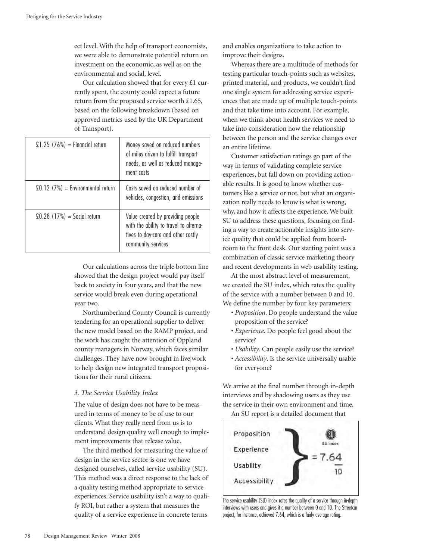ect level. With the help of transport economists, we were able to demonstrate potential return on investment on the economic, as well as on the environmental and social, level.

Our calculation showed that for every £1 currently spent, the county could expect a future return from the proposed service worth £1.65, based on the following breakdown (based on approved metrics used by the UK Department of Transport).

| $$1.25 (76%) = Financial return$                 | Money saved on reduced numbers<br>of miles driven to fulfill transport<br>needs, as well as reduced manage-<br>ment costs               |
|--------------------------------------------------|-----------------------------------------------------------------------------------------------------------------------------------------|
| $\text{\pounds}0.12$ (7%) = Environmental return | Costs saved on reduced number of<br>vehicles, congestion, and emissions                                                                 |
| $$0.28$ (17%) = Social return                    | Value created by providing people<br>with the ability to travel to alterna-<br>tives to day-care and other costly<br>community services |

Our calculations across the triple bottom line showed that the design project would pay itself back to society in four years, and that the new service would break even during operational year two.

Northumberland County Council is currently tendering for an operational supplier to deliver the new model based on the RAMP project, and the work has caught the attention of Oppland county managers in Norway, which faces similar challenges. They have now brought in live|work to help design new integrated transport propositions for their rural citizens.

# *3. The Service Usability Index*

The value of design does not have to be measured in terms of money to be of use to our clients. What they really need from us is to understand design quality well enough to implement improvements that release value.

The third method for measuring the value of design in the service sector is one we have designed ourselves, called service usability (SU). This method was a direct response to the lack of a quality testing method appropriate to service experiences. Service usability isn't a way to qualify ROI, but rather a system that measures the quality of a service experience in concrete terms

and enables organizations to take action to improve their designs.

Whereas there are a multitude of methods for testing particular touch-points such as websites, printed material, and products, we couldn't find one single system for addressing service experiences that are made up of multiple touch-points and that take time into account. For example, when we think about health services we need to take into consideration how the relationship between the person and the service changes over an entire lifetime.

Customer satisfaction ratings go part of the way in terms of validating complete service experiences, but fall down on providing actionable results. It is good to know whether customers like a service or not, but what an organization really needs to know is what is wrong, why, and how it affects the experience. We built SU to address these questions, focusing on finding a way to create actionable insights into service quality that could be applied from boardroom to the front desk. Our starting point was a combination of classic service marketing theory and recent developments in web usability testing.

At the most abstract level of measurement, we created the SU index, which rates the quality of the service with a number between 0 and 10. We define the number by four key parameters:

- *Proposition*. Do people understand the value proposition of the service?
- *Experience*. Do people feel good about the service?
- *Usability*. Can people easily use the service?
- *Accessibility*. Is the service universally usable for everyone?

We arrive at the final number through in-depth interviews and by shadowing users as they use the service in their own environment and time.

An SU report is a detailed document that



The service usability (SU) index rates the quality of a service through in-depth interviews with users and gives it a number between 0 and 10. The Streetcar project, for instance, achieved 7.64, which is a fairly average rating.